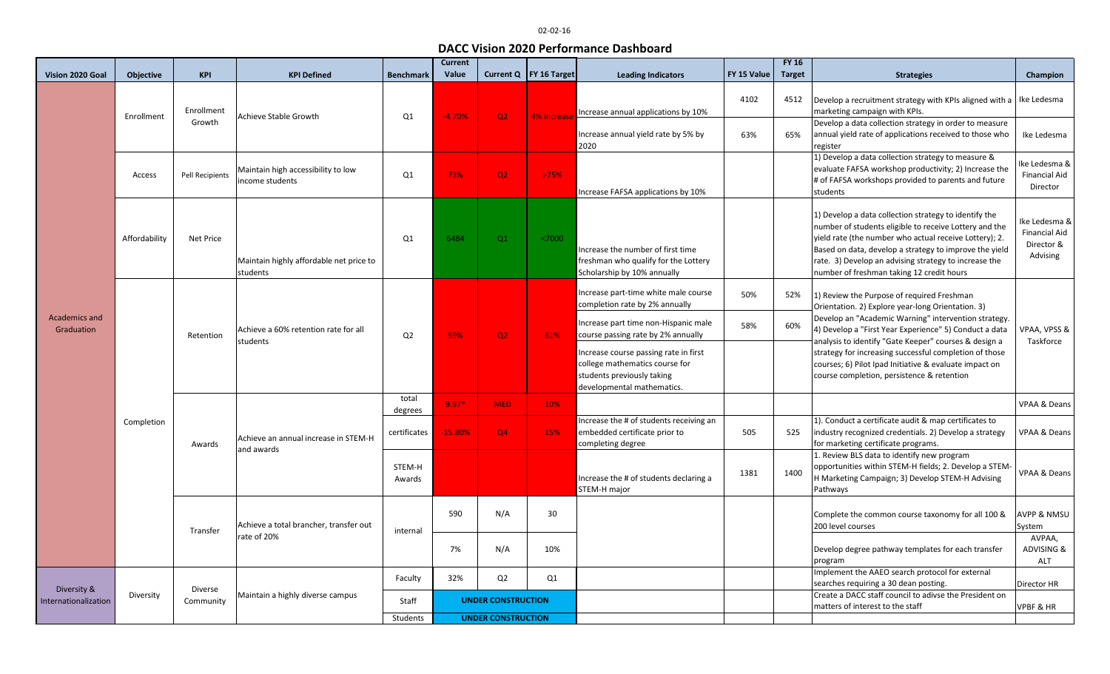## 02-02-16

## **DACC Vision 2020 Performance Dashboard**

|                                     |                  |                      |                                                       |                  | <b>Current</b>            |                |                          |                                                                                                                                    |             | <b>FY 16</b>  |                                                                                                                                                                                                                                                                                                                                                                                                                                              |                                                                 |
|-------------------------------------|------------------|----------------------|-------------------------------------------------------|------------------|---------------------------|----------------|--------------------------|------------------------------------------------------------------------------------------------------------------------------------|-------------|---------------|----------------------------------------------------------------------------------------------------------------------------------------------------------------------------------------------------------------------------------------------------------------------------------------------------------------------------------------------------------------------------------------------------------------------------------------------|-----------------------------------------------------------------|
| Vision 2020 Goal                    | <b>Objective</b> | <b>KPI</b>           | <b>KPI Defined</b>                                    | <b>Benchmark</b> | Value                     |                | Current Q   FY 16 Target | <b>Leading Indicators</b>                                                                                                          | FY 15 Value | <b>Target</b> | <b>Strategies</b>                                                                                                                                                                                                                                                                                                                                                                                                                            | Champion                                                        |
| <b>Academics and</b><br>Graduation  | Enrollment       | Enrollment           | Achieve Stable Growth                                 | Q1               | $-4.70%$                  | Q2             | 4% increase              | Increase annual applications by 10%                                                                                                | 4102        | 4512          | Develop a recruitment strategy with KPIs aligned with a<br>marketing campaign with KPIs.                                                                                                                                                                                                                                                                                                                                                     | Ike Ledesma                                                     |
|                                     |                  | Growth               |                                                       |                  |                           |                |                          | Increase annual yield rate by 5% by<br>2020                                                                                        | 63%         | 65%           | Develop a data collection strategy in order to measure<br>annual yield rate of applications received to those who<br>register                                                                                                                                                                                                                                                                                                                | Ike Ledesma                                                     |
|                                     | Access           | Pell Recipients      | Maintain high accessibility to low<br>income students | Q1               | 73%                       | Q2             | >75%                     | ncrease FAFSA applications by 10%                                                                                                  |             |               | 1) Develop a data collection strategy to measure &<br>evaluate FAFSA workshop productivity; 2) Increase the<br># of FAFSA workshops provided to parents and future<br>students                                                                                                                                                                                                                                                               | Ike Ledesma &<br><b>Financial Aid</b><br>Director               |
|                                     | Affordability    | Net Price            | Maintain highly affordable net price to<br>students   | Q1               | 6484                      | Q1             | < 7000                   | Increase the number of first time<br>freshman who qualify for the Lottery<br>Scholarship by 10% annually                           |             |               | 1) Develop a data collection strategy to identify the<br>number of students eligible to receive Lottery and the<br>yield rate (the number who actual receive Lottery); 2.<br>Based on data, develop a strategy to improve the yield<br>rate. 3) Develop an advising strategy to increase the<br>number of freshman taking 12 credit hours                                                                                                    | Ike Ledesma &<br><b>Financial Aid</b><br>Director &<br>Advising |
|                                     | Completion       | Retention            | Achieve a 60% retention rate for all<br>students      | Q <sub>2</sub>   | 59%                       | Q2             | 61%                      | Increase part-time white male course<br>completion rate by 2% annually                                                             | 50%         | 52%           | 1) Review the Purpose of required Freshman<br>Orientation. 2) Explore year-long Orientation. 3)<br>Develop an "Academic Warning" intervention strategy.<br>4) Develop a "First Year Experience" 5) Conduct a data<br>analysis to identify "Gate Keeper" courses & design a<br>strategy for increasing successful completion of those<br>courses; 6) Pilot Ipad Initiative & evaluate impact on<br>course completion, persistence & retention | VPAA, VPSS &<br>Taskforce                                       |
|                                     |                  |                      |                                                       |                  |                           |                |                          | Increase part time non-Hispanic male<br>course passing rate by 2% annually                                                         | 58%         | 60%           |                                                                                                                                                                                                                                                                                                                                                                                                                                              |                                                                 |
|                                     |                  |                      |                                                       |                  |                           |                |                          | ncrease course passing rate in first<br>college mathematics course for<br>students previously taking<br>developmental mathematics. |             |               |                                                                                                                                                                                                                                                                                                                                                                                                                                              |                                                                 |
|                                     |                  | Awards               | Achieve an annual increase in STEM-H<br>and awards    | total<br>degrees | $9.97*$                   | MED.           | 10%                      |                                                                                                                                    |             |               |                                                                                                                                                                                                                                                                                                                                                                                                                                              | <b>VPAA &amp; Deans</b>                                         |
|                                     |                  |                      |                                                       | certificates     | 15.80%                    | Q4             | 15%                      | ncrease the # of students receiving an<br>embedded certificate prior to<br>completing degree                                       | 505         | 525           | 1). Conduct a certificate audit & map certificates to<br>industry recognized credentials. 2) Develop a strategy<br>for marketing certificate programs.                                                                                                                                                                                                                                                                                       | <b>VPAA &amp; Deans</b>                                         |
|                                     |                  |                      |                                                       | STEM-H<br>Awards |                           |                |                          | Increase the # of students declaring a<br>STEM-H major                                                                             | 1381        | 1400          | 1. Review BLS data to identify new program<br>opportunities within STEM-H fields; 2. Develop a STEM-<br>H Marketing Campaign; 3) Develop STEM-H Advising<br>Pathways                                                                                                                                                                                                                                                                         | VPAA & Deans                                                    |
|                                     |                  | Transfer             | Achieve a total brancher, transfer out<br>rate of 20% | internal         | 590                       | N/A            | 30                       |                                                                                                                                    |             |               | Complete the common course taxonomy for all 100 &<br>200 level courses                                                                                                                                                                                                                                                                                                                                                                       | <b>AVPP &amp; NMSU</b><br>System                                |
|                                     |                  |                      |                                                       |                  | 7%                        | N/A            | 10%                      |                                                                                                                                    |             |               | Develop degree pathway templates for each transfer<br>program                                                                                                                                                                                                                                                                                                                                                                                | AVPAA,<br>ADVISING &<br>ALT                                     |
| Diversity &<br>Internationalization | Diversity        | Diverse<br>Community | Maintain a highly diverse campus                      | Faculty          | 32%                       | Q <sub>2</sub> | Q1                       |                                                                                                                                    |             |               | Implement the AAEO search protocol for external                                                                                                                                                                                                                                                                                                                                                                                              |                                                                 |
|                                     |                  |                      |                                                       | Staff            | <b>UNDER CONSTRUCTION</b> |                |                          |                                                                                                                                    |             |               | searches requiring a 30 dean posting.<br>Create a DACC staff council to adivse the President on<br>matters of interest to the staff                                                                                                                                                                                                                                                                                                          | Director HR<br><b>VPBF &amp; HR</b>                             |
|                                     |                  |                      |                                                       | Students         | <b>UNDER CONSTRUCTION</b> |                |                          |                                                                                                                                    |             |               |                                                                                                                                                                                                                                                                                                                                                                                                                                              |                                                                 |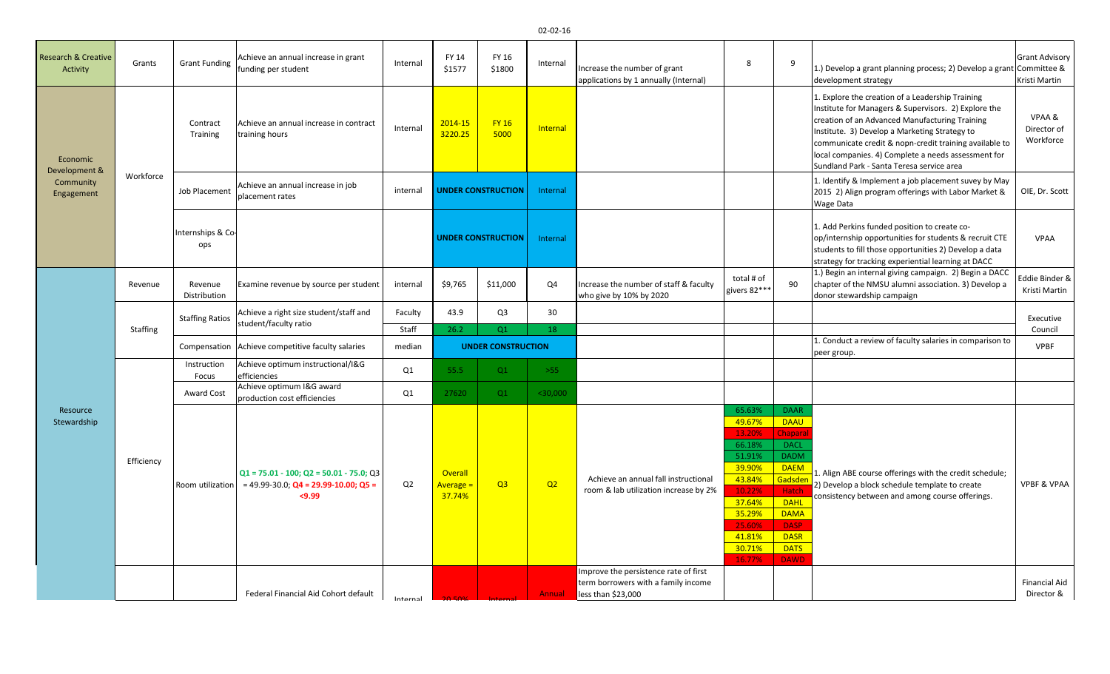| <b>Research &amp; Creative</b><br>Activity           | Grants          | <b>Grant Funding</b>    | Achieve an annual increase in grant<br>funding per student                                             | Internal       | FY 14<br>\$1577                       | FY 16<br>\$1800           | Internal   | Increase the number of grant<br>applications by 1 annually (Internal)         | 8                                                                                                                                        | 9                                                                                                                                                                                                      | 1.) Develop a grant planning process; 2) Develop a grant Committee &<br>development strategy                                                                                                                                                                                                                                                                              | <b>Grant Advisory</b><br>Kristi Martin |
|------------------------------------------------------|-----------------|-------------------------|--------------------------------------------------------------------------------------------------------|----------------|---------------------------------------|---------------------------|------------|-------------------------------------------------------------------------------|------------------------------------------------------------------------------------------------------------------------------------------|--------------------------------------------------------------------------------------------------------------------------------------------------------------------------------------------------------|---------------------------------------------------------------------------------------------------------------------------------------------------------------------------------------------------------------------------------------------------------------------------------------------------------------------------------------------------------------------------|----------------------------------------|
| Economic<br>Development &<br>Community<br>Engagement | Workforce       | Contract<br>Training    | Achieve an annual increase in contract<br>training hours                                               | Internal       | 2014-15<br>3220.25                    | <b>FY 16</b><br>5000      | Internal   |                                                                               |                                                                                                                                          |                                                                                                                                                                                                        | 1. Explore the creation of a Leadership Training<br>Institute for Managers & Supervisors. 2) Explore the<br>creation of an Advanced Manufacturing Training<br>Institute. 3) Develop a Marketing Strategy to<br>communicate credit & nopn-credit training available to<br>local companies. 4) Complete a needs assessment for<br>Sundland Park - Santa Teresa service area | VPAA &<br>Director of<br>Workforce     |
|                                                      |                 | Job Placement           | Achieve an annual increase in job<br>placement rates                                                   | internal       | <b>UNDER CONSTRUCTION</b>             |                           | Internal   |                                                                               |                                                                                                                                          |                                                                                                                                                                                                        | 1. Identify & Implement a job placement suvey by May<br>2015 2) Align program offerings with Labor Market &<br>Wage Data                                                                                                                                                                                                                                                  | OIE, Dr. Scott                         |
|                                                      |                 | Internships & Co<br>ops |                                                                                                        |                |                                       | <b>UNDER CONSTRUCTION</b> | Internal   |                                                                               |                                                                                                                                          |                                                                                                                                                                                                        | 1. Add Perkins funded position to create co-<br>op/internship opportunities for students & recruit CTE<br>students to fill those opportunities 2) Develop a data<br>strategy for tracking experiential learning at DACC                                                                                                                                                   | <b>VPAA</b>                            |
|                                                      | Revenue         | Revenue<br>Distribution | Examine revenue by source per student                                                                  | internal       | \$9,765                               | \$11,000                  | Q4         | Increase the number of staff & faculty<br>who give by 10% by 2020             | total # of<br>givers 82***                                                                                                               | 90                                                                                                                                                                                                     | 1.) Begin an internal giving campaign. 2) Begin a DACC<br>chapter of the NMSU alumni association. 3) Develop a<br>donor stewardship campaign                                                                                                                                                                                                                              | Eddie Binder &<br>Kristi Martin        |
|                                                      |                 | <b>Staffing Ratios</b>  | Achieve a right size student/staff and<br>student/faculty ratio                                        | Faculty        | 43.9                                  | Q <sub>3</sub>            | 30         |                                                                               |                                                                                                                                          |                                                                                                                                                                                                        |                                                                                                                                                                                                                                                                                                                                                                           | Executive                              |
|                                                      | <b>Staffing</b> |                         |                                                                                                        | Staff          | 26.2                                  | O <sub>1</sub>            | 18         |                                                                               |                                                                                                                                          |                                                                                                                                                                                                        |                                                                                                                                                                                                                                                                                                                                                                           | Council                                |
|                                                      |                 | Compensation            | Achieve competitive faculty salaries                                                                   | median         | <b>UNDER CONSTRUCTION</b>             |                           |            |                                                                               |                                                                                                                                          |                                                                                                                                                                                                        | 1. Conduct a review of faculty salaries in comparison to<br>peer group.                                                                                                                                                                                                                                                                                                   | <b>VPBF</b>                            |
|                                                      |                 | Instruction<br>Focus    | Achieve optimum instructional/I&G<br>efficiencies                                                      | Q1             | 55.5                                  | Q1                        | $>55$      |                                                                               |                                                                                                                                          |                                                                                                                                                                                                        |                                                                                                                                                                                                                                                                                                                                                                           |                                        |
|                                                      |                 | Award Cost              | Achieve optimum I&G award<br>production cost efficiencies                                              | Q1             | 27620                                 | Q1                        | $<$ 30,000 |                                                                               |                                                                                                                                          |                                                                                                                                                                                                        |                                                                                                                                                                                                                                                                                                                                                                           |                                        |
| Resource<br>Stewardship                              | Efficiency      | Room utilization        | $Q1 = 75.01 - 100$ ; $Q2 = 50.01 - 75.0$ ; $Q3$<br>$= 49.99 - 30.0$ ; Q4 = 29.99-10.00; Q5 =<br>< 9.99 | Q <sub>2</sub> | Overall<br><b>Average =</b><br>37.74% | Q <sub>3</sub>            | Q2         | Achieve an annual fall instructional<br>room & lab utilization increase by 2% | 65.63%<br>49.67%<br>13.20%<br>66.18%<br>51.91%<br>39.90%<br>43.84%<br>10.22%<br>37.64%<br>35.29%<br>25.60%<br>41.81%<br>30.71%<br>16.77% | <b>DAAR</b><br><b>DAAU</b><br><b>Chapara</b><br><b>DACL</b><br><b>DADM</b><br><b>DAEM</b><br>Gadsde<br>Hatch<br><b>DAHL</b><br><b>DAMA</b><br><b>DASP</b><br><b>DASR</b><br><b>DATS</b><br><b>DAWD</b> | 1. Align ABE course offerings with the credit schedule;<br>2) Develop a block schedule template to create<br>consistency between and among course offerings.                                                                                                                                                                                                              | <b>VPBF &amp; VPAA</b>                 |
|                                                      |                 |                         |                                                                                                        |                |                                       |                           |            | mprove the persistence rate of first<br>term borrowers with a family income   |                                                                                                                                          |                                                                                                                                                                                                        |                                                                                                                                                                                                                                                                                                                                                                           | <b>Financial Aid</b>                   |
|                                                      |                 |                         |                                                                                                        |                |                                       |                           |            |                                                                               |                                                                                                                                          |                                                                                                                                                                                                        |                                                                                                                                                                                                                                                                                                                                                                           |                                        |

20.50% Internal Annual less than \$23,000

Director &

Federal Financial Aid Cohort default | Internal